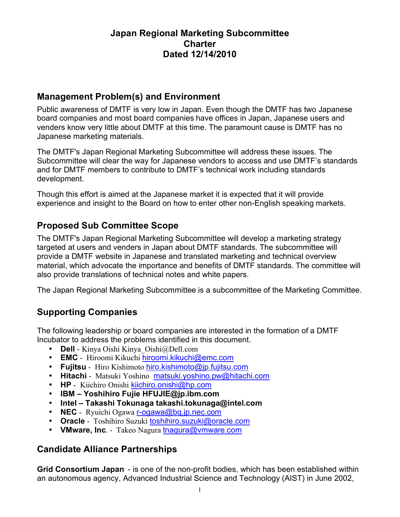# **Japan Regional Marketing Subcommittee Charter Dated 12/14/2010**

# **Management Problem(s) and Environment**

Public awareness of DMTF is very low in Japan. Even though the DMTF has two Japanese board companies and most board companies have offices in Japan, Japanese users and venders know very little about DMTF at this time. The paramount cause is DMTF has no Japanese marketing materials.

The DMTF's Japan Regional Marketing Subcommittee will address these issues. The Subcommittee will clear the way for Japanese vendors to access and use DMTF's standards and for DMTF members to contribute to DMTF's technical work including standards development.

Though this effort is aimed at the Japanese market it is expected that it will provide experience and insight to the Board on how to enter other non-English speaking markets.

# **Proposed Sub Committee Scope**

The DMTF's Japan Regional Marketing Subcommittee will develop a marketing strategy targeted at users and venders in Japan about DMTF standards. The subcommittee will provide a DMTF website in Japanese and translated marketing and technical overview material, which advocate the importance and benefits of DMTF standards. The committee will also provide translations of technical notes and white papers.

The Japan Regional Marketing Subcommittee is a subcommittee of the Marketing Committee.

# **Supporting Companies**

The following leadership or board companies are interested in the formation of a DMTF Incubator to address the problems identified in this document.

- **Dell** Kinya Oishi Kinya Oishi@Dell.com
- **EMC** Hiroomi Kikuchi hiroomi.kikuchi@emc.com
- **Fujitsu** Hiro Kishimoto hiro.kishimoto@jp.fujitsu.com
- **Hitachi** Matsuki Yoshino matsuki.yoshino.pw@hitachi.com
- **HP** Kiichiro Onishi kiichiro.onishi@hp.com
- **IBM Yoshihiro Fujie HFUJIE@jp.ibm.com**
- **Intel Takashi Tokunaga takashi.tokunaga@intel.com**
- **NEC** Ryuichi Ogawa **r-ogawa@bq.jp.nec.com**
- **Oracle** Toshihiro Suzuki toshihiro.suzuki@oracle.com
- **VMware, Inc**. Takeo Nagura tnagura@vmware.com

# **Candidate Alliance Partnerships**

**Grid Consortium Japan** - is one of the non-profit bodies, which has been established within an autonomous agency, Advanced Industrial Science and Technology (AIST) in June 2002,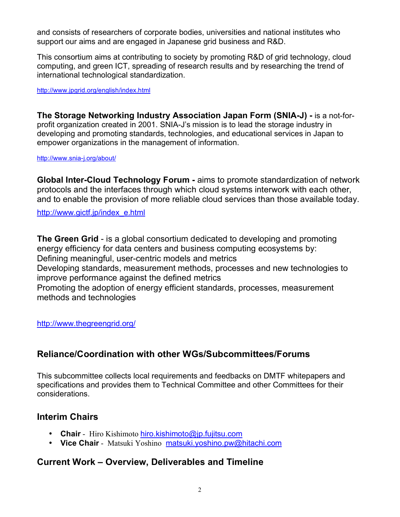and consists of researchers of corporate bodies, universities and national institutes who support our aims and are engaged in Japanese grid business and R&D.

This consortium aims at contributing to society by promoting R&D of grid technology, cloud computing, and green ICT, spreading of research results and by researching the trend of international technological standardization.

http://www.jpgrid.org/english/index.html

**The Storage Networking Industry Association Japan Form (SNIA-J) -** is a not-forprofit organization created in 2001. SNIA-J's mission is to lead the storage industry in developing and promoting standards, technologies, and educational services in Japan to empower organizations in the management of information.

http://www.snia-j.org/about/

**Global Inter-Cloud Technology Forum -** aims to promote standardization of network protocols and the interfaces through which cloud systems interwork with each other, and to enable the provision of more reliable cloud services than those available today.

http://www.gictf.jp/index\_e.html

**The Green Grid** - is a global consortium dedicated to developing and promoting energy efficiency for data centers and business computing ecosystems by: Defining meaningful, user-centric models and metrics Developing standards, measurement methods, processes and new technologies to improve performance against the defined metrics Promoting the adoption of energy efficient standards, processes, measurement methods and technologies

http://www.thegreengrid.org/

# **Reliance/Coordination with other WGs/Subcommittees/Forums**

This subcommittee collects local requirements and feedbacks on DMTF whitepapers and specifications and provides them to Technical Committee and other Committees for their considerations.

#### **Interim Chairs**

- **Chair** Hiro Kishimoto hiro.kishimoto@jp.fujitsu.com
- **Vice Chair** Matsuki Yoshino matsuki.yoshino.pw@hitachi.com

# **Current Work – Overview, Deliverables and Timeline**